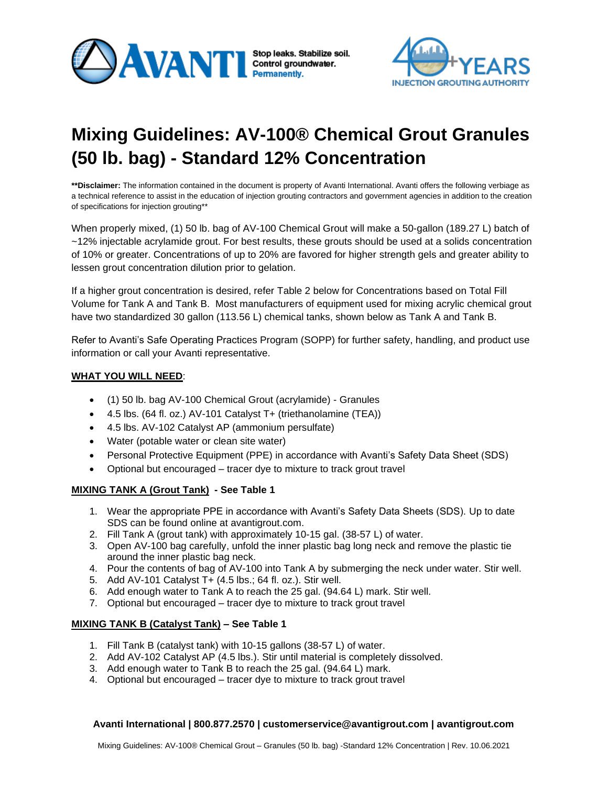



# **Mixing Guidelines: AV-100® Chemical Grout Granules (50 lb. bag) - Standard 12% Concentration**

**\*\*Disclaimer:** The information contained in the document is property of Avanti International. Avanti offers the following verbiage as a technical reference to assist in the education of injection grouting contractors and government agencies in addition to the creation of specifications for injection grouting\*\*

When properly mixed, (1) 50 lb. bag of AV-100 Chemical Grout will make a 50-gallon (189.27 L) batch of ~12% injectable acrylamide grout. For best results, these grouts should be used at a solids concentration of 10% or greater. Concentrations of up to 20% are favored for higher strength gels and greater ability to lessen grout concentration dilution prior to gelation.

If a higher grout concentration is desired, refer Table 2 below for Concentrations based on Total Fill Volume for Tank A and Tank B. Most manufacturers of equipment used for mixing acrylic chemical grout have two standardized 30 gallon (113.56 L) chemical tanks, shown below as Tank A and Tank B.

Refer to Avanti's Safe Operating Practices Program (SOPP) for further safety, handling, and product use information or call your Avanti representative.

## **WHAT YOU WILL NEED**:

- (1) 50 lb. bag AV-100 Chemical Grout (acrylamide) Granules
- 4.5 lbs. (64 fl. oz.) AV-101 Catalyst T+ (triethanolamine (TEA))
- 4.5 lbs. AV-102 Catalyst AP (ammonium persulfate)
- Water (potable water or clean site water)
- Personal Protective Equipment (PPE) in accordance with Avanti's Safety Data Sheet (SDS)
- Optional but encouraged tracer dye to mixture to track grout travel

## **MIXING TANK A (Grout Tank) - See Table 1**

- 1. Wear the appropriate PPE in accordance with Avanti's Safety Data Sheets (SDS). Up to date SDS can be found online at avantigrout.com.
- 2. Fill Tank A (grout tank) with approximately 10-15 gal. (38-57 L) of water.
- 3. Open AV-100 bag carefully, unfold the inner plastic bag long neck and remove the plastic tie around the inner plastic bag neck.
- 4. Pour the contents of bag of AV-100 into Tank A by submerging the neck under water. Stir well.
- 5. Add AV-101 Catalyst T+ (4.5 lbs.; 64 fl. oz.). Stir well.
- 6. Add enough water to Tank A to reach the 25 gal. (94.64 L) mark. Stir well.
- 7. Optional but encouraged tracer dye to mixture to track grout travel

## **MIXING TANK B (Catalyst Tank) – See Table 1**

- 1. Fill Tank B (catalyst tank) with 10-15 gallons (38-57 L) of water.
- 2. Add AV-102 Catalyst AP (4.5 lbs.). Stir until material is completely dissolved.
- 3. Add enough water to Tank B to reach the 25 gal. (94.64 L) mark.
- 4. Optional but encouraged tracer dye to mixture to track grout travel

## **Avanti International | 800.877.2570 | customerservice@avantigrout.com | avantigrout.com**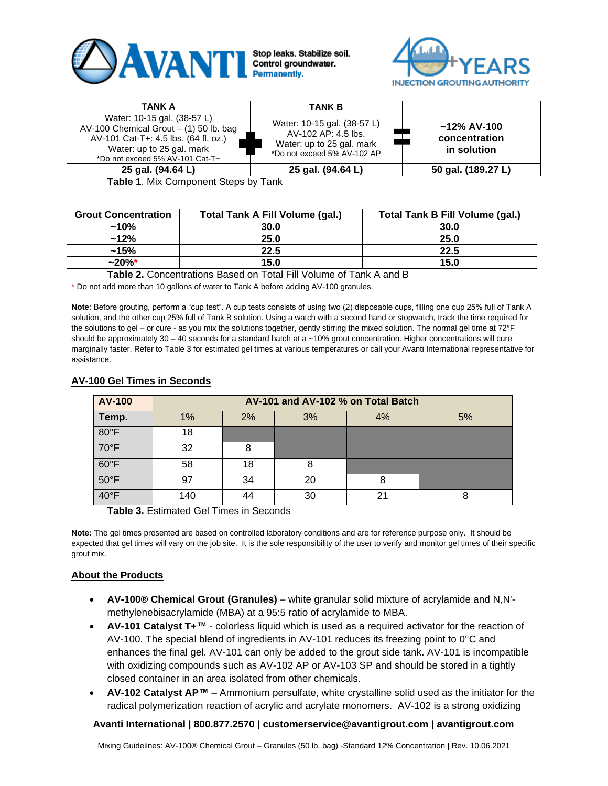



| TANK A                                                                                                                                                                          | <b>TANK B</b>                                                                                                  |                                                |
|---------------------------------------------------------------------------------------------------------------------------------------------------------------------------------|----------------------------------------------------------------------------------------------------------------|------------------------------------------------|
| Water: 10-15 gal. (38-57 L)<br>AV-100 Chemical Grout $-$ (1) 50 lb. bag<br>AV-101 Cat-T+: 4.5 lbs. (64 fl. oz.)<br>Water: up to 25 gal. mark<br>*Do not exceed 5% AV-101 Cat-T+ | Water: 10-15 gal. (38-57 L)<br>AV-102 AP: 4.5 lbs.<br>Water: up to 25 gal. mark<br>*Do not exceed 5% AV-102 AP | $~12\%$ AV-100<br>concentration<br>in solution |
| 25 gal. (94.64 L)                                                                                                                                                               | 25 gal. (94.64 L)                                                                                              | 50 gal. (189.27 L)                             |

**Table 1**. Mix Component Steps by Tank

| <b>Grout Concentration</b> | <b>Total Tank A Fill Volume (gal.)</b> | Total Tank B Fill Volume (gal.) |  |  |
|----------------------------|----------------------------------------|---------------------------------|--|--|
| $~10\%$                    | 30.0                                   | 30.0                            |  |  |
| $~12\%$                    | 25.0                                   | 25.0                            |  |  |
| $~15\%$                    | 22.5                                   | 22.5                            |  |  |
| $~20\%$ *                  | 15.0                                   | 15.0                            |  |  |

**Table 2.** Concentrations Based on Total Fill Volume of Tank A and B

\* Do not add more than 10 gallons of water to Tank A before adding AV-100 granules.

**Note**: Before grouting, perform a "cup test". A cup tests consists of using two (2) disposable cups, filling one cup 25% full of Tank A solution, and the other cup 25% full of Tank B solution. Using a watch with a second hand or stopwatch, track the time required for the solutions to gel – or cure - as you mix the solutions together, gently stirring the mixed solution. The normal gel time at 72°F should be approximately  $30 - 40$  seconds for a standard batch at a  $~10\%$  grout concentration. Higher concentrations will cure marginally faster. Refer to Table 3 for estimated gel times at various temperatures or call your Avanti International representative for assistance.

| AV-100         | AV-101 and AV-102 % on Total Batch |    |    |    |    |  |
|----------------|------------------------------------|----|----|----|----|--|
| Temp.          | 1%                                 | 2% | 3% | 4% | 5% |  |
| $80^{\circ}$ F | 18                                 |    |    |    |    |  |
| $70^{\circ}$ F | 32                                 | 8  |    |    |    |  |
| $60^{\circ}$ F | 58                                 | 18 | 8  |    |    |  |
| $50^{\circ}$ F | 97                                 | 34 | 20 |    |    |  |
| $40^{\circ}$ F | 140                                | 44 | 30 |    |    |  |

## **AV-100 Gel Times in Seconds**

**Table 3.** Estimated Gel Times in Seconds

**Note:** The gel times presented are based on controlled laboratory conditions and are for reference purpose only. It should be expected that gel times will vary on the job site. It is the sole responsibility of the user to verify and monitor gel times of their specific grout mix.

## **About the Products**

- **AV-100® Chemical Grout (Granules)** white granular solid mixture of acrylamide and N,N' methylenebisacrylamide (MBA) at a 95:5 ratio of acrylamide to MBA.
- **AV-101 Catalyst T+™** colorless liquid which is used as a required activator for the reaction of AV-100. The special blend of ingredients in AV-101 reduces its freezing point to 0°C and enhances the final gel. AV-101 can only be added to the grout side tank. AV-101 is incompatible with oxidizing compounds such as AV-102 AP or AV-103 SP and should be stored in a tightly closed container in an area isolated from other chemicals.
- **AV-102 Catalyst AP™** Ammonium persulfate, white crystalline solid used as the initiator for the radical polymerization reaction of acrylic and acrylate monomers. AV-102 is a strong oxidizing

## **Avanti International | 800.877.2570 | customerservice@avantigrout.com | avantigrout.com**